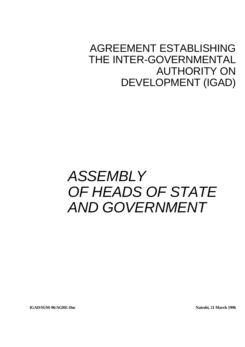## AGREEMENT ESTABLISHING THE INTER-GOVERNMENTAL AUTHORITY ON DEVELOPMENT (IGAD)

# *ASSEMBLY OF HEADS OF STATE AND GOVERNMENT*

**IGAD/SUM-96/AGRE-Doc Nairobi, 21 March 1996**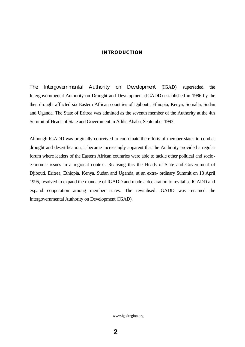#### **INTRODUCTION**

The Intergovernmental Authority on Development (IGAD) superseded the Intergovernmental Authority on Drought and Development (IGADD) established in 1986 by the then drought afflicted six Eastern African countries of Djibouti, Ethiopia, Kenya, Somalia, Sudan and Uganda. The State of Eritrea was admitted as the seventh member of the Authority at the 4th Summit of Heads of State and Government in Addis Ababa, September 1993.

Although IGADD was originally conceived to coordinate the efforts of member states to combat drought and desertification, it became increasingly apparent that the Authority provided a regular forum where leaders of the Eastern African countries were able to tackle other political and socioeconomic issues in a regional context. Realising this the Heads of State and Government of Djibouti, Eritrea, Ethiopia, Kenya, Sudan and Uganda, at an extra- ordinary Summit on 18 April 1995, resolved to expand the mandate of IGADD and made a declaration to revitalise IGADD and expand cooperation among member states. The revitalised IGADD was renamed the Intergovernmental Authority on Development (IGAD).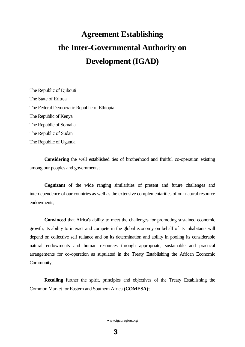## **Agreement Establishing the Inter-Governmental Authority on Development (IGAD)**

The Republic of Djibouti The State of Eritrea The Federal Democratic Republic of Ethiopia The Republic of Kenya The Republic of Somalia The Republic of Sudan The Republic of Uganda

**Considering** the well established ties of brotherhood and fruitful co-operation existing among our peoples and governments;

**Cognizant** of the wide ranging similarities of present and future challenges and interdependence of our countries as well as the extensive complementarities of our natural resource endowments;

**Convinced** that Africa's ability to meet the challenges for promoting sustained economic growth, its ability to interact and compete in the global economy on behalf of its inhabitants will depend on collective self reliance and on its determination and ability in pooling its considerable natural endowments and human resources through appropriate, sustainable and practical arrangements for co-operation as stipulated in the Treaty Establishing the African Economic Community;

**Recalling** further the spirit, principles and objectives of the Treaty Establishing the Common Market for Eastern and Southern Africa **(COMESA);**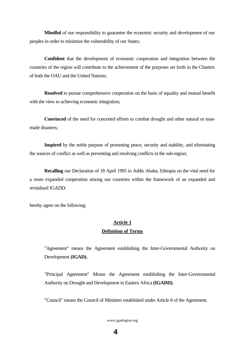**Mindful** of our responsibility to guarantee the economic security and development of our peoples in order to minimize the vulnerability of our States;

**Confident** that the development of economic cooperation and integration between the countries of the region will contribute to the achievement of the purposes set forth in the Charters of both the OAU and the United Nations;

**Resolved** to pursue comprehensive cooperation on the basis of equality and mutual benefit with the view to achieving economic integration;

**Convinced** of the need for concerted efforts to combat drought and other natural or manmade disasters;

**Inspired** by the noble purpose of promoting peace, security and stability, and eliminating the sources of conflict as well as preventing and resolving conflicts in the sub-region;

**Recalling** our Declaration of 18 April 1995 in Addis Ababa, Ethiopia on the vital need for a more expanded cooperation among our countries within the framework of an expanded and revitalised IGADD;

hereby agree on the following:

## **Article 1 Definition of Terms**

"Agreement" means the Agreement establishing the Inter-Governmental Authority on Development **(IGAD).**

"Principal Agreement" Means the Agreement establishing the Inter-Governmental Authority on Drought and Development in Eastern Africa **(IGADD).**

"Council" means the Council of Ministers established under Article 8 of the Agreement.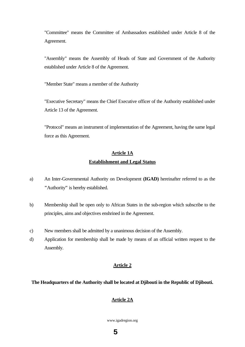"Committee" means the Committee of Ambassadors established under Article 8 of the Agreement.

"Assembly" means the Assembly of Heads of State and Government of the Authority established under Article 8 of the Agreement.

"Member State" means a member of the Authority

"Executive Secretary" means the Chief Executive officer of the Authority established under Article 13 of the Agreement.

"Protocol" means an instrument of implementation of the Agreement, having the same legal force as this Agreement.

## **Article 1A Establishment and Legal Status**

- a) An Inter-Governmental Authority on Development **(IGAD)** hereinafter referred to as the **"**Authority**"** is hereby established.
- b) Membership shall be open only to African States in the sub-region which subscribe to the principles, aims and objectives enshrined in the Agreement.
- c) New members shall be admitted by a unanimous decision of the Assembly.
- d) Application for membership shall be made by means of an official written request to the Assembly.

#### **Article 2**

#### **The Headquarters of the Authority shall be located at Djibouti in the Republic of Djibouti.**

#### **Article 2A**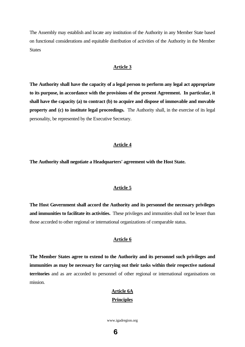The Assembly may establish and locate any institution of the Authority in any Member State based on functional considerations and equitable distribution of activities of the Authority in the Member **States** 

#### **Article 3**

**The Authority shall have the capacity of a legal person to perform any legal act appropriate to its purpose, in accordance with the provisions of the present Agreement. In particular, it shall have the capacity (a) to contract (b) to acquire and dispose of immovable and movable property and (c) to institute legal proceedings.** The Authority shall, in the exercise of its legal personality, be represented by the Executive Secretary.

#### **Article 4**

**The Authority shall negotiate a Headquarters' agreement with the Host State.**

#### **Article 5**

**The Host Government shall accord the Authority and its personnel the necessary privileges and immunities to facilitate its activities.** These privileges and immunities shall not be lesser than those accorded to other regional or international organizations of comparable status.

#### **Article 6**

**The Member States agree to extend to the Authority and its personnel such privileges and immunities as may be necessary for carrying out their tasks within their respective national territories** and as are accorded to personnel of other regional or international organisations on mission.

## **Article 6A Principles**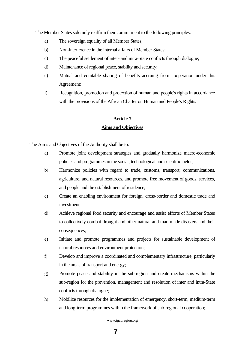The Member States solemnly reaffirm their commitment to the following principles:

- a) The sovereign equality of all Member States;
- b) Non-interference in the internal affairs of Member States;
- c) The peaceful settlement of inter- and intra-State conflicts through dialogue;
- d) Maintenance of regional peace, stability and security;
- e) Mutual and equitable sharing of benefits accruing from cooperation under this Agreement;
- f) Recognition, promotion and protection of human and people's rights in accordance with the provisions of the African Charter on Human and People's Rights.

## **Article 7 Aims and Objectives**

The Aims and Objectives of the Authority shall be to:

- a) Promote joint development strategies and gradually harmonize macro-economic policies and programmes in the social, technological and scientific fields;
- b) Harmonize policies with regard to trade, customs, transport, communications, agriculture, and natural resources, and promote free movement of goods, services, and people and the establishment of residence;
- c) Create an enabling environment for foreign, cross-border and domestic trade and investment;
- d) Achieve regional food security and encourage and assist efforts of Member States to collectively combat drought and other natural and man-made disasters and their consequences;
- e) Initiate and promote programmes and projects for sustainable development of natural resources and environment protection;
- f) Develop and improve a coordinated and complementary infrastructure, particularly in the areas of transport and energy;
- g) Promote peace and stability in the sub-region and create mechanisms within the sub-region for the prevention, management and resolution of inter and intra-State conflicts through dialogue;
- h) Mobilize resources for the implementation of emergency, short-term, medium-term and long-term programmes within the framework of sub-regional cooperation;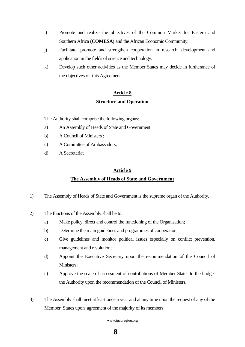- i) Promote and realize the objectives of the Common Market for Eastern and Southern Africa **(COMESA)** and the African Economic Community;
- j) Facilitate, promote and strengthen cooperation in research, development and application in the fields of science and technology.
- k) Develop such other activities as the Member States may decide in furtherance of the objectives of this Agreement.

## **Article 8**

**Structure and Operation**

The Authority shall comprise the following organs:

- a) An Assembly of Heads of State and Government;
- b) A Council of Ministers ;
- c) A Committee of Ambassadors;
- d) A Secretariat

#### **Article 9**

### **The Assembly of Heads of State and Government**

- 1) The Assembly of Heads of State and Government is the supreme organ of the Authority.
- 2) The functions of the Assembly shall be to:
	- a) Make policy, direct and control the functioning of the Organisation;
	- b) Determine the main guidelines and programmes of cooperation;
	- c) Give guidelines and monitor political issues especially on conflict prevention, management and resolution;
	- d) Appoint the Executive Secretary upon the recommendation of the Council of Ministers:
	- e) Approve the scale of assessment of contributions of Member States to the budget the Authority upon the recommendation of the Council of Ministers.
- 3) The Assembly shall meet at least once a year and at any time upon the request of any of the Member States upon agreement of the majority of its members.

www.igadregion.org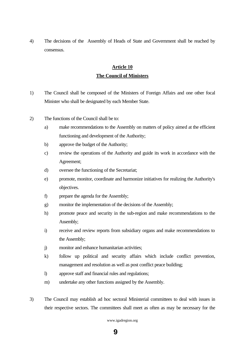4) The decisions of the Assembly of Heads of State and Government shall be reached by consensus.

## **Article 10 The Council of Ministers**

- 1) The Council shall be composed of the Ministers of Foreign Affairs and one other focal Minister who shall be designated by each Member State.
- 2) The functions of the Council shall be to:
	- a) make recommendations to the Assembly on matters of policy aimed at the efficient functioning and development of the Authority;
	- b) approve the budget of the Authority;
	- c) review the operations of the Authority and guide its work in accordance with the Agreement;
	- d) oversee the functioning of the Secretariat;
	- e) promote, monitor, coordinate and harmonize initiatives for realizing the Authority's objectives.
	- f) prepare the agenda for the Assembly;
	- g) monitor the implementation of the decisions of the Assembly;
	- h) promote peace and security in the sub-region and make recommendations to the Assembly;
	- i) receive and review reports from subsidiary organs and make recommendations to the Assembly;
	- j) monitor and enhance humanitarian activities;
	- k) follow up political and security affairs which include conflict prevention, management and resolution as well as post conflict peace building;
	- l) approve staff and financial rules and regulations;
	- m) undertake any other functions assigned by the Assembly.
- 3) The Council may establish ad hoc sectoral Ministerial committees to deal with issues in their respective sectors. The committees shall meet as often as may be necessary for the

#### www.igadregion.org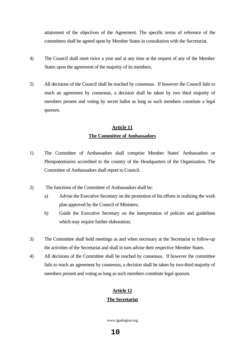attainment of the objectives of the Agreement. The specific terms of reference of the committees shall be agreed upon by Member States in consultation with the Secretariat.

- 4) The Council shall meet twice a year and at any time at the request of any of the Member States upon the agreement of the majority of its members.
- 5) All decisions of the Council shall be reached by consensus. If however the Council fails to reach an agreement by consensus, a decision shall be taken by two third majority of members present and voting by secret ballot as long as such members constitute a legal quorum.

## **Article 11 The Committee of Ambassadors**

- 1) The Committee of Ambassadors shall comprise Member States' Ambassadors or Plenipotentiaries accredited to the country of the Headquarters of the Organization. The Committee of Ambassadors shall report to Council.
- 2) The functions of the Committee of Ambassadors shall be:
	- a) Advise the Executive Secretary on the promotion of his efforts in realizing the work plan approved by the Council of Ministers;
	- b) Guide the Executive Secretary on the interpretation of policies and guidelines which may require further elaboration;
- 3) The Committee shall hold meetings as and when necessary at the Secretariat to follow-up the activities of the Secretariat and shall in turn advise their respective Member States.
- 4) All decisions of the Committee shall be reached by consensus. If however the committee fails to reach an agreement by consensus, a decision shall be taken by two-third majority of members present and voting as long as such members constitute legal quorum.

### **Article 12**

#### **The Secretariat**

www.igadregion.org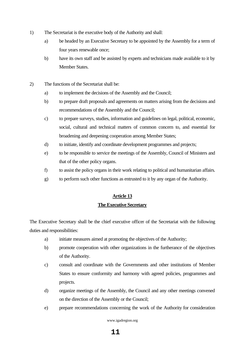- 1) The Secretariat is the executive body of the Authority and shall:
	- a) be headed by an Executive Secretary to be appointed by the Assembly for a term of four years renewable once;
	- b) have its own staff and be assisted by experts and technicians made available to it by Member States.
- 2) The functions of the Secretariat shall be:
	- a) to implement the decisions of the Assembly and the Council;
	- b) to prepare draft proposals and agreements on matters arising from the decisions and recommendations of the Assembly and the Council;
	- c) to prepare surveys, studies, information and guidelines on legal, political, economic, social, cultural and technical matters of common concern to, and essential for broadening and deepening cooperation among Member States;
	- d) to initiate, identify and coordinate development programmes and projects;
	- e) to be responsible to service the meetings of the Assembly, Council of Ministers and that of the other policy organs.
	- f) to assist the policy organs in their work relating to political and humanitarian affairs.
	- g) to perform such other functions as entrusted to it by any organ of the Authority.

## **Article 13 The Executive Secretary**

The Executive Secretary shall be the chief executive officer of the Secretariat with the following duties and responsibilities:

- a) initiate measures aimed at promoting the objectives of the Authority;
- b) promote cooperation with other organizations in the furtherance of the objectives of the Authority.
- c) consult and coordinate with the Governments and other institutions of Member States to ensure conformity and harmony with agreed policies, programmes and projects.
- d) organize meetings of the Assembly, the Council and any other meetings convened on the direction of the Assembly or the Council;
- e) prepare recommendations concerning the work of the Authority for consideration

www.igadregion.org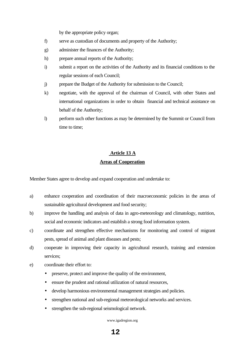by the appropriate policy organ;

- f) serve as custodian of documents and property of the Authority;
- g) administer the finances of the Authority;
- h) prepare annual reports of the Authority;
- i) submit a report on the activities of the Authority and its financial conditions to the regular sessions of each Council;
- j) prepare the Budget of the Authority for submission to the Council;
- k) negotiate, with the approval of the chairman of Council, with other States and international organizations in order to obtain financial and technical assistance on behalf of the Authority;
- l) perform such other functions as may be determined by the Summit or Council from time to time;

## **Article 13 A Areas of Cooperation**

Member States agree to develop and expand cooperation and undertake to:

- a) enhance cooperation and coordination of their macroeconomic policies in the areas of sustainable agricultural development and food security;
- b) improve the handling and analysis of data in agro-meteorology and climatology, nutrition, social and economic indicators and establish a strong food information system.
- c) coordinate and strengthen effective mechanisms for monitoring and control of migrant pests, spread of animal and plant diseases and pests;
- d) cooperate in improving their capacity in agricultural research, training and extension services;
- e) coordinate their effort to:
	- preserve, protect and improve the quality of the environment,
	- ensure the prudent and rational utilization of natural resources,
	- develop harmonious environmental management strategies and policies.
	- strengthen national and sub-regional meteorological networks and services.
	- strengthen the sub-regional seismological network.

www.igadregion.org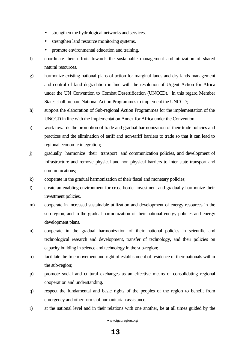- strengthen the hydrological networks and services.
- strengthen land resource monitoring systems.
- promote environmental education and training.
- f) coordinate their efforts towards the sustainable management and utilization of shared natural resources.
- g) harmonize existing national plans of action for marginal lands and dry lands management and control of land degradation in line with the resolution of Urgent Action for Africa under the UN Convention to Combat Desertification (UNCCD). In this regard Member States shall prepare National Action Programmes to implement the UNCCD;
- h) support the elaboration of Sub-regional Action Programmes for the implementation of the UNCCD in line with the Implementation Annex for Africa under the Convention.
- i) work towards the promotion of trade and gradual harmonization of their trade policies and practices and the elimination of tariff and non-tariff barriers to trade so that it can lead to regional economic integration;
- j) gradually harmonize their transport and communication policies, and development of infrastructure and remove physical and non physical barriers to inter state transport and communications;
- k) cooperate in the gradual harmonization of their fiscal and monetary policies;
- l) create an enabling environment for cross border investment and gradually harmonize their investment policies.
- m) cooperate in increased sustainable utilization and development of energy resources in the sub-region, and in the gradual harmonization of their national energy policies and energy development plans.
- n) cooperate in the gradual harmonization of their national policies in scientific and technological research and development, transfer of technology, and their policies on capacity building in science and technology in the sub-region;
- o) facilitate the free movement and right of establishment of residence of their nationals within the sub-region;
- p) promote social and cultural exchanges as an effective means of consolidating regional cooperation and understanding.
- q) respect the fundamental and basic rights of the peoples of the region to benefit from emergency and other forms of humanitarian assistance.
- r) at the national level and in their relations with one another, be at all times guided by the

www.igadregion.org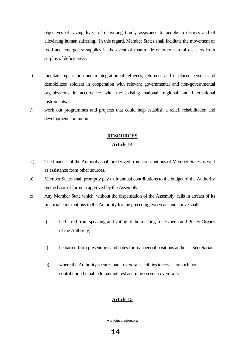objectives of saving lives, of delivering timely assistance to people in distress and of alleviating human suffering. In this regard, Member States shall facilitate the movement of food and emergency supplies in the event of man-made or other natural disasters from surplus of deficit areas.

- s) facilitate repatriation and reintegration of refugees, returnees and displaced persons and demobilized soldiers in cooperation with relevant governmental and non-governmental organizations in accordance with the existing national, regional and international instruments;
- t) work out programmes and projects that could help establish a relief, rehabilitation and development continuum."

## **RESOURCES**

#### **Article 14**

- a ) The finances of the Authority shall be derived from contributions of Member States as well as assistance from other sources.
- b) Member States shall promptly pay their annual contributions to the budget of the Authority on the basis of formula approved by the Assembly.
- c) Any Member State which, without the dispensation of the Assembly, falls in arrears of its financial contributions to the Authority for the preceding two years and above shall:
	- i) be barred from speaking and voting at the meetings of Experts and Policy Organs of the Authority;
	- ii) be barred from presenting candidates for managerial positions at the Secretariat;
	- iii) where the Authority secures bank overdraft facilities to cover for such non contribution be liable to pay interest accruing on such overdrafts.

#### **Article 15**

www.igadregion.org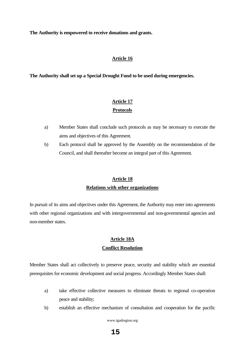**The Authority is empowered to receive donations and grants.**

#### **Article 16**

**The Authority shall set up a Special Drought Fund to be used during emergencies.**

## **Article 17 Protocols**

- a) Member States shall conclude such protocols as may be necessary to execute the aims and objectives of this Agreement.
- b) Each protocol shall be approved by the Assembly on the recommendation of the Council, and shall thereafter become an integral part of this Agreement.

## **Article 18 Relations with other organizations**

In pursuit of its aims and objectives under this Agreement, the Authority may enter into agreements with other regional organizations and with intergovernmental and non-governmental agencies and non-member states.

## **Article 18A Conflict Resolution**

Member States shall act collectively to preserve peace, security and stability which are essential prerequisites for economic development and social progress. Accordingly Member States shall:

- a) take effective collective measures to eliminate threats to regional co-operation peace and stability;
- b) establish an effective mechanism of consultation and cooperation for the pacific

www.igadregion.org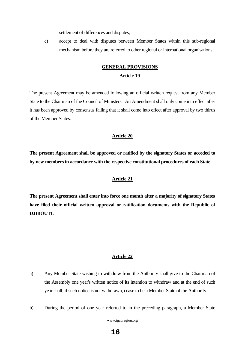settlement of differences and disputes;

c) accept to deal with disputes between Member States within this sub-regional mechanism before they are referred to other regional or international organisations.

## **GENERAL PROVISIONS Article 19**

The present Agreement may be amended following an official written request from any Member State to the Chairman of the Council of Ministers. An Amendment shall only come into effect after it has been approved by consensus failing that it shall come into effect after approval by two thirds of the Member States.

#### **Article 20**

**The present Agreement shall be approved or ratified by the signatory States or acceded to by new members in accordance with the respective constitutional procedures of each State.**

#### **Article 21**

**The present Agreement shall enter into force one month after a majority of signatory States have filed their official written approval or ratification documents with the Republic of DJIBOUTI.**

#### **Article 22**

- a) Any Member State wishing to withdraw from the Authority shall give to the Chairman of the Assembly one year's written notice of its intention to withdraw and at the end of such year shall, if such notice is not withdrawn, cease to be a Member State of the Authority.
- b) During the period of one year referred to in the preceding paragraph, a Member State